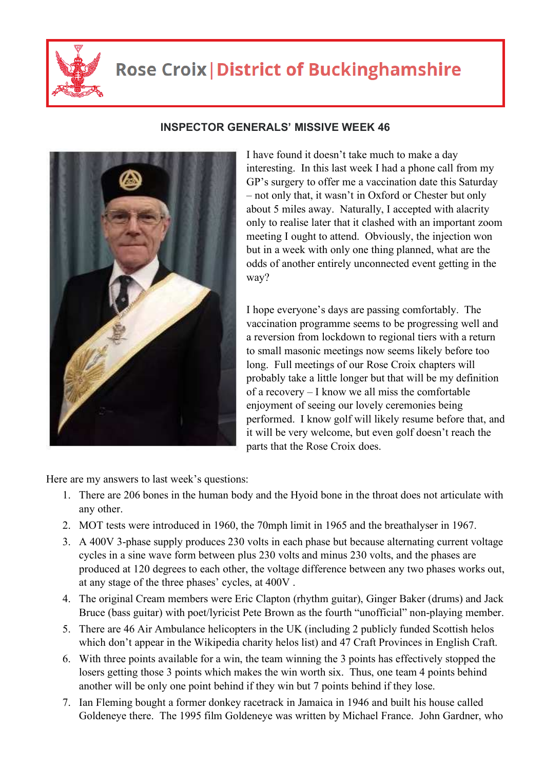

## **Rose Croix | District of Buckinghamshire**



## **INSPECTOR GENERALS' MISSIVE WEEK 46**

I have found it doesn't take much to make a day interesting. In this last week I had a phone call from my GP's surgery to offer me a vaccination date this Saturday – not only that, it wasn't in Oxford or Chester but only about 5 miles away. Naturally, I accepted with alacrity only to realise later that it clashed with an important zoom meeting I ought to attend. Obviously, the injection won but in a week with only one thing planned, what are the odds of another entirely unconnected event getting in the way?

I hope everyone's days are passing comfortably. The vaccination programme seems to be progressing well and a reversion from lockdown to regional tiers with a return to small masonic meetings now seems likely before too long. Full meetings of our Rose Croix chapters will probably take a little longer but that will be my definition of a recovery – I know we all miss the comfortable enjoyment of seeing our lovely ceremonies being performed. I know golf will likely resume before that, and it will be very welcome, but even golf doesn't reach the parts that the Rose Croix does.

Here are my answers to last week's questions:

- 1. There are 206 bones in the human body and the Hyoid bone in the throat does not articulate with any other.
- 2. MOT tests were introduced in 1960, the 70mph limit in 1965 and the breathalyser in 1967.
- 3. A 400V 3-phase supply produces 230 volts in each phase but because alternating current voltage cycles in a sine wave form between plus 230 volts and minus 230 volts, and the phases are produced at 120 degrees to each other, the voltage difference between any two phases works out, at any stage of the three phases' cycles, at 400V .
- 4. The original Cream members were Eric Clapton (rhythm guitar), Ginger Baker (drums) and Jack Bruce (bass guitar) with poet/lyricist Pete Brown as the fourth "unofficial" non-playing member.
- 5. There are 46 Air Ambulance helicopters in the UK (including 2 publicly funded Scottish helos which don't appear in the Wikipedia charity helos list) and 47 Craft Provinces in English Craft.
- 6. With three points available for a win, the team winning the 3 points has effectively stopped the losers getting those 3 points which makes the win worth six. Thus, one team 4 points behind another will be only one point behind if they win but 7 points behind if they lose.
- 7. Ian Fleming bought a former donkey racetrack in Jamaica in 1946 and built his house called Goldeneye there. The 1995 film Goldeneye was written by Michael France. John Gardner, who